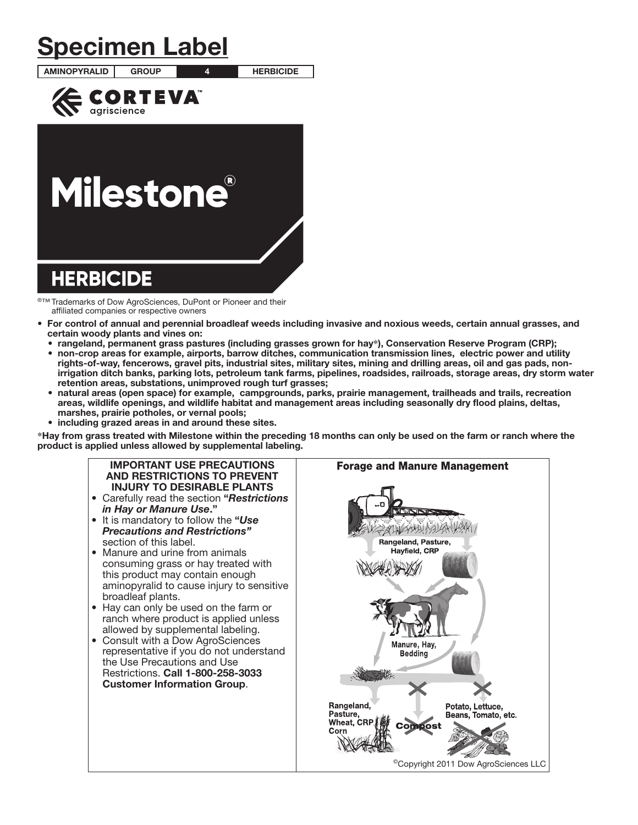# Specimen Label

AMINOPYRALID GROUP 4 HERBICIDE



# **Milestone®**

# **HERBICIDE**

®™ Trademarks of Dow AgroSciences, DuPont or Pioneer and their affiliated companies or respective owners

- For control of annual and perennial broadleaf weeds including invasive and noxious weeds, certain annual grasses, and certain woody plants and vines on:
	- rangeland, permanent grass pastures (including grasses grown for hay**\***), Conservation Reserve Program (CRP);
	- non-crop areas for example, airports, barrow ditches, communication transmission lines, electric power and utility rights-of-way, fencerows, gravel pits, industrial sites, military sites, mining and drilling areas, oil and gas pads, nonirrigation ditch banks, parking lots, petroleum tank farms, pipelines, roadsides, railroads, storage areas, dry storm water retention areas, substations, unimproved rough turf grasses;
	- natural areas (open space) for example, campgrounds, parks, prairie management, trailheads and trails, recreation areas, wildlife openings, and wildlife habitat and management areas including seasonally dry flood plains, deltas, marshes, prairie potholes, or vernal pools;
- including grazed areas in and around these sites.

**\***Hay from grass treated with Milestone within the preceding 18 months can only be used on the farm or ranch where the product is applied unless allowed by supplemental labeling.

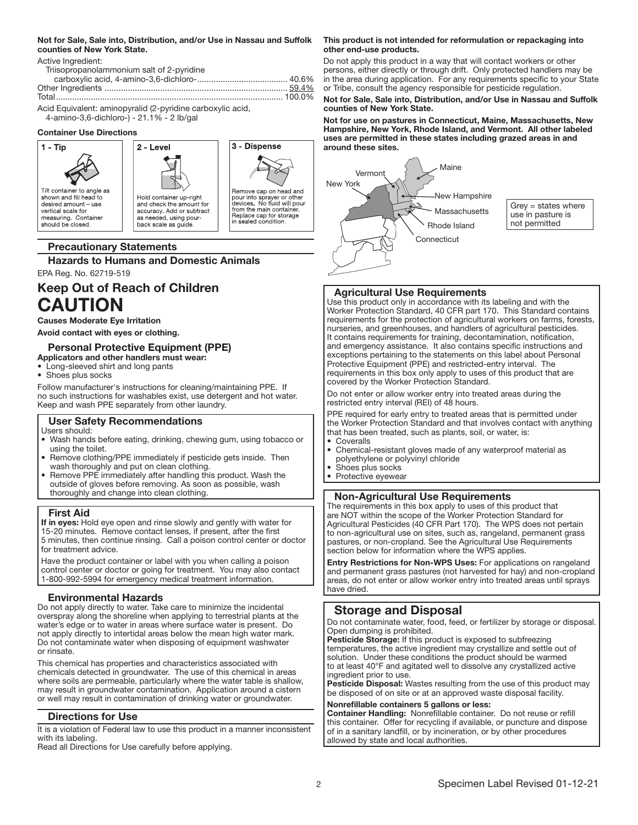#### Not for Sale, Sale into, Distribution, and/or Use in Nassau and Suffolk counties of New York State.

Active Ingredient:

| Triisopropanolammonium salt of 2-pyridine |  |
|-------------------------------------------|--|
|                                           |  |
|                                           |  |
|                                           |  |

Acid Equivalent: aminopyralid (2-pyridine carboxylic acid, 4-amino-3,6-dichloro-) - 21.1% - 2 lb/gal

#### Container Use Directions



# Precautionary Statements

Hazards to Humans and Domestic Animals

EPA Reg. No. 62719-519

# Keep Out of Reach of Children CAUTION

#### Causes Moderate Eye Irritation

Avoid contact with eyes or clothing.

# Personal Protective Equipment (PPE)

- Applicators and other handlers must wear:
- Long-sleeved shirt and long pants
- Shoes plus socks

Follow manufacturer's instructions for cleaning/maintaining PPE. If no such instructions for washables exist, use detergent and hot water. Keep and wash PPE separately from other laundry.

# User Safety Recommendations

Users should:

- Wash hands before eating, drinking, chewing gum, using tobacco or using the toilet.
- Remove clothing/PPE immediately if pesticide gets inside. Then wash thoroughly and put on clean clothing.
- Remove PPE immediately after handling this product. Wash the outside of gloves before removing. As soon as possible, wash thoroughly and change into clean clothing.

# First Aid

If in eyes: Hold eye open and rinse slowly and gently with water for 15-20 minutes. Remove contact lenses, if present, after the first 5 minutes, then continue rinsing. Call a poison control center or doctor for treatment advice.

Have the product container or label with you when calling a poison control center or doctor or going for treatment. You may also contact 1-800-992-5994 for emergency medical treatment information. Ļ

# Environmental Hazards

Do not apply directly to water. Take care to minimize the incidental overspray along the shoreline when applying to terrestrial plants at the water's edge or to water in areas where surface water is present. Do not apply directly to intertidal areas below the mean high water mark. Do not contaminate water when disposing of equipment washwater or rinsate.

This chemical has properties and characteristics associated with chemicals detected in groundwater. The use of this chemical in areas where soils are permeable, particularly where the water table is shallow, may result in groundwater contamination. Application around a cistern or well may result in contamination of drinking water or groundwater.

#### Directions for Use

It is a violation of Federal law to use this product in a manner inconsistent with its labeling.

Read all Directions for Use carefully before applying.

#### This product is not intended for reformulation or repackaging into other end-use products.

Do not apply this product in a way that will contact workers or other persons, either directly or through drift. Only protected handlers may be in the area during application. For any requirements specific to your State or Tribe, consult the agency responsible for pesticide regulation.

#### Not for Sale, Sale into, Distribution, and/or Use in Nassau and Suffolk counties of New York State.

Not for use on pastures in Connecticut, Maine, Massachusetts, New Hampshire, New York, Rhode Island, and Vermont. All other labeled uses are permitted in these states including grazed areas in and around these sites.



Grey = states where use in pasture is not permitted

# Agricultural Use Requirements

Use this product only in accordance with its labeling and with the Worker Protection Standard, 40 CFR part 170. This Standard contains requirements for the protection of agricultural workers on farms, forests, nurseries, and greenhouses, and handlers of agricultural pesticides. It contains requirements for training, decontamination, notification, and emergency assistance. It also contains specific instructions and exceptions pertaining to the statements on this label about Personal Protective Equipment (PPE) and restricted-entry interval. The requirements in this box only apply to uses of this product that are covered by the Worker Protection Standard.

Do not enter or allow worker entry into treated areas during the restricted entry interval (REI) of 48 hours.

PPE required for early entry to treated areas that is permitted under the Worker Protection Standard and that involves contact with anything that has been treated, such as plants, soil, or water, is:

- Coveralls
- Chemical-resistant gloves made of any waterproof material as polyethylene or polyvinyl chloride
- Shoes plus socks
- Protective eyewear

# Non-Agricultural Use Requirements

The requirements in this box apply to uses of this product that are NOT within the scope of the Worker Protection Standard for Agricultural Pesticides (40 CFR Part 170). The WPS does not pertain to non-agricultural use on sites, such as, rangeland, permanent grass pastures, or non-cropland. See the Agricultural Use Requirements section below for information where the WPS applies.

Entry Restrictions for Non-WPS Uses: For applications on rangeland and permanent grass pastures (not harvested for hay) and non-cropland areas, do not enter or allow worker entry into treated areas until sprays have dried.

# Storage and Disposal

Do not contaminate water, food, feed, or fertilizer by storage or disposal. Open dumping is prohibited.

Pesticide Storage: If this product is exposed to subfreezing temperatures, the active ingredient may crystallize and settle out of solution. Under these conditions the product should be warmed to at least 40°F and agitated well to dissolve any crystallized active ingredient prior to use.

Pesticide Disposal: Wastes resulting from the use of this product may be disposed of on site or at an approved waste disposal facility.

#### Nonrefillable containers 5 gallons or less:

Container Handling: Nonrefillable container. Do not reuse or refill this container. Offer for recycling if available, or puncture and dispose of in a sanitary landfill, or by incineration, or by other procedures allowed by state and local authorities.

ļ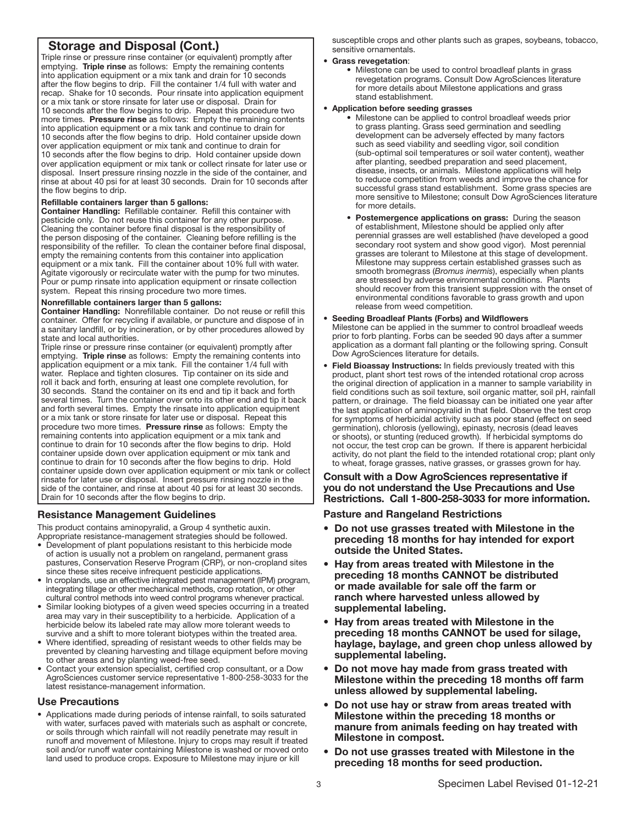# Storage and Disposal (Cont.)

Triple rinse or pressure rinse container (or equivalent) promptly after emptying. Triple rinse as follows: Empty the remaining contents into application equipment or a mix tank and drain for 10 seconds after the flow begins to drip. Fill the container 1/4 full with water and recap. Shake for 10 seconds. Pour rinsate into application equipment or a mix tank or store rinsate for later use or disposal. Drain for 10 seconds after the flow begins to drip. Repeat this procedure two more times. Pressure rinse as follows: Empty the remaining contents into application equipment or a mix tank and continue to drain for 10 seconds after the flow begins to drip. Hold container upside down over application equipment or mix tank and continue to drain for 10 seconds after the flow begins to drip. Hold container upside down over application equipment or mix tank or collect rinsate for later use or disposal. Insert pressure rinsing nozzle in the side of the container, and rinse at about 40 psi for at least 30 seconds. Drain for 10 seconds after the flow begins to drip.

#### Refillable containers larger than 5 gallons:

Container Handling: Refillable container. Refill this container with pesticide only. Do not reuse this container for any other purpose. Cleaning the container before final disposal is the responsibility of the person disposing of the container. Cleaning before refilling is the responsibility of the refiller. To clean the container before final disposal, empty the remaining contents from this container into application equipment or a mix tank. Fill the container about 10% full with water. Agitate vigorously or recirculate water with the pump for two minutes. Pour or pump rinsate into application equipment or rinsate collection system. Repeat this rinsing procedure two more times.

#### Nonrefillable containers larger than 5 gallons:

Container Handling: Nonrefillable container. Do not reuse or refill this container. Offer for recycling if available, or puncture and dispose of in a sanitary landfill, or by incineration, or by other procedures allowed by state and local authorities.

Triple rinse or pressure rinse container (or equivalent) promptly after emptying. Triple rinse as follows: Empty the remaining contents into application equipment or a mix tank. Fill the container 1/4 full with water. Replace and tighten closures. Tip container on its side and roll it back and forth, ensuring at least one complete revolution, for 30 seconds. Stand the container on its end and tip it back and forth several times. Turn the container over onto its other end and tip it back and forth several times. Empty the rinsate into application equipment or a mix tank or store rinsate for later use or disposal. Repeat this procedure two more times. Pressure rinse as follows: Empty the remaining contents into application equipment or a mix tank and continue to drain for 10 seconds after the flow begins to drip. Hold container upside down over application equipment or mix tank and continue to drain for 10 seconds after the flow begins to drip. Hold container upside down over application equipment or mix tank or collect rinsate for later use or disposal. Insert pressure rinsing nozzle in the side of the container, and rinse at about 40 psi for at least 30 seconds. Drain for 10 seconds after the flow begins to drip.

#### Ļ Resistance Management Guidelines

This product contains aminopyralid, a Group 4 synthetic auxin.

- Appropriate resistance-management strategies should be followed. • Development of plant populations resistant to this herbicide mode of action is usually not a problem on rangeland, permanent grass pastures, Conservation Reserve Program (CRP), or non-cropland sites since these sites receive infrequent pesticide applications.
- In croplands, use an effective integrated pest management (IPM) program, integrating tillage or other mechanical methods, crop rotation, or other cultural control methods into weed control programs whenever practical.
- Similar looking biotypes of a given weed species occurring in a treated area may vary in their susceptibility to a herbicide. Application of a herbicide below its labeled rate may allow more tolerant weeds to survive and a shift to more tolerant biotypes within the treated area.
- Where identified, spreading of resistant weeds to other fields may be prevented by cleaning harvesting and tillage equipment before moving to other areas and by planting weed-free seed.
- Contact your extension specialist, certified crop consultant, or a Dow AgroSciences customer service representative 1-800-258-3033 for the latest resistance-management information.

#### Use Precautions

• Applications made during periods of intense rainfall, to soils saturated with water, surfaces paved with materials such as asphalt or concrete, or soils through which rainfall will not readily penetrate may result in runoff and movement of Milestone. Injury to crops may result if treated soil and/or runoff water containing Milestone is washed or moved onto land used to produce crops. Exposure to Milestone may injure or kill

susceptible crops and other plants such as grapes, soybeans, tobacco, sensitive ornamentals.

#### • Grass revegetation:

• Milestone can be used to control broadleaf plants in grass revegetation programs. Consult Dow AgroSciences literature for more details about Milestone applications and grass stand establishment.

#### • Application before seeding grasses

- Milestone can be applied to control broadleaf weeds prior to grass planting. Grass seed germination and seedling development can be adversely effected by many factors such as seed viability and seedling vigor, soil condition (sub-optimal soil temperatures or soil water content), weather after planting, seedbed preparation and seed placement, disease, insects, or animals. Milestone applications will help to reduce competition from weeds and improve the chance for successful grass stand establishment. Some grass species are more sensitive to Milestone; consult Dow AgroSciences literature for more details.
- Postemergence applications on grass: During the season of establishment, Milestone should be applied only after perennial grasses are well established (have developed a good secondary root system and show good vigor). Most perennial grasses are tolerant to Milestone at this stage of development. Milestone may suppress certain established grasses such as smooth bromegrass (*Bromus inermis*), especially when plants are stressed by adverse environmental conditions. Plants should recover from this transient suppression with the onset of environmental conditions favorable to grass growth and upon release from weed competition.

#### • Seeding Broadleaf Plants (Forbs) and Wildflowers

- Milestone can be applied in the summer to control broadleaf weeds prior to forb planting. Forbs can be seeded 90 days after a summer application as a dormant fall planting or the following spring. Consult Dow AgroSciences literature for details.
- Field Bioassay Instructions: In fields previously treated with this product, plant short test rows of the intended rotational crop across the original direction of application in a manner to sample variability in field conditions such as soil texture, soil organic matter, soil pH, rainfall pattern, or drainage. The field bioassay can be initiated one year after the last application of aminopyralid in that field. Observe the test crop for symptoms of herbicidal activity such as poor stand (effect on seed germination), chlorosis (yellowing), epinasty, necrosis (dead leaves or shoots), or stunting (reduced growth). If herbicidal symptoms do not occur, the test crop can be grown. If there is apparent herbicidal activity, do not plant the field to the intended rotational crop; plant only to wheat, forage grasses, native grasses, or grasses grown for hay.

Consult with a Dow AgroSciences representative if you do not understand the Use Precautions and Use Restrictions. Call 1-800-258-3033 for more information.

#### Pasture and Rangeland Restrictions

- Do not use grasses treated with Milestone in the preceding 18 months for hay intended for export outside the United States.
- Hay from areas treated with Milestone in the preceding 18 months CANNOT be distributed or made available for sale off the farm or ranch where harvested unless allowed by supplemental labeling.
- Hay from areas treated with Milestone in the preceding 18 months CANNOT be used for silage, haylage, baylage, and green chop unless allowed by supplemental labeling.
- Do not move hay made from grass treated with Milestone within the preceding 18 months off farm unless allowed by supplemental labeling.
- Do not use hay or straw from areas treated with Milestone within the preceding 18 months or manure from animals feeding on hay treated with Milestone in compost.
- Do not use grasses treated with Milestone in the preceding 18 months for seed production.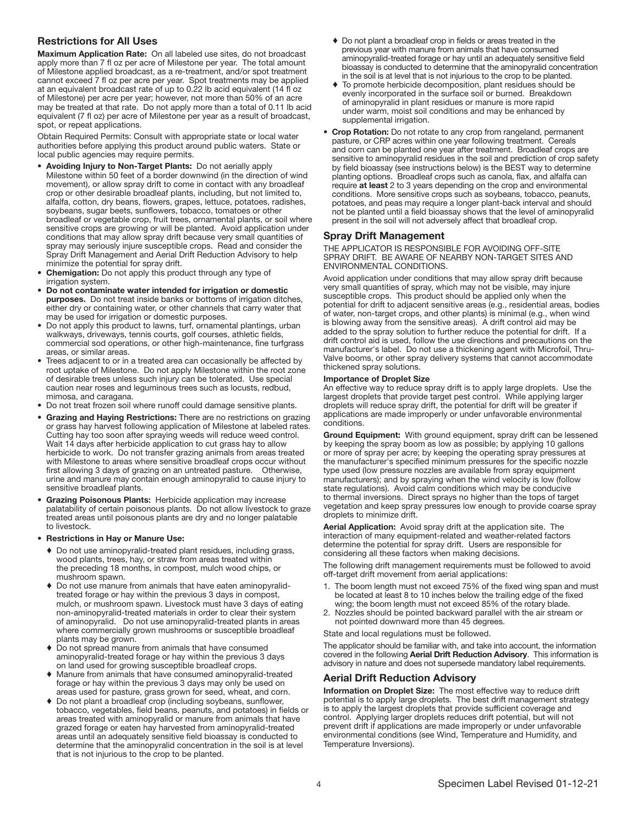#### Restrictions for All Uses

Maximum Application Rate: On all labeled use sites, do not broadcast apply more than 7 fl oz per acre of Milestone per year. The total amount of Milestone applied broadcast, as a re-treatment, and/or spot treatment cannot exceed 7 fl oz per acre per year. Spot treatments may be applied at an equivalent broadcast rate of up to 0.22 lb acid equivalent (14 fl oz of Milestone) per acre per year; however, not more than 50% of an acre may be treated at that rate. Do not apply more than a total of 0.11 lb acid equivalent (7 fl oz) per acre of Milestone per year as a result of broadcast, spot, or repeat applications.

Obtain Required Permits: Consult with appropriate state or local water authorities before applying this product around public waters. State or local public agencies may require permits.

- Avoiding Injury to Non-Target Plants: Do not aerially apply Milestone within 50 feet of a border downwind (in the direction of wind movement), or allow spray drift to come in contact with any broadleaf crop or other desirable broadleaf plants, including, but not limited to, alfalfa, cotton, dry beans, flowers, grapes, lettuce, potatoes, radishes, soybeans, sugar beets, sunflowers, tobacco, tomatoes or other broadleaf or vegetable crop, fruit trees, ornamental plants, or soil where sensitive crops are growing or will be planted. Avoid application under conditions that may allow spray drift because very small quantities of spray may seriously injure susceptible crops. Read and consider the Spray Drift Management and Aerial Drift Reduction Advisory to help minimize the potential for spray drift.
- Chemigation: Do not apply this product through any type of irrigation system.
- Do not contaminate water intended for irrigation or domestic purposes. Do not treat inside banks or bottoms of irrigation ditches, either dry or containing water, or other channels that carry water that may be used for irrigation or domestic purposes.
- Do not apply this product to lawns, turf, ornamental plantings, urban walkways, driveways, tennis courts, golf courses, athletic fields, commercial sod operations, or other high-maintenance, fine turfgrass areas, or similar areas.
- Trees adjacent to or in a treated area can occasionally be affected by root uptake of Milestone. Do not apply Milestone within the root zone of desirable trees unless such injury can be tolerated. Use special caution near roses and leguminous trees such as locusts, redbud, mimosa, and caragana.
- Do not treat frozen soil where runoff could damage sensitive plants.
- Grazing and Haying Restrictions: There are no restrictions on grazing or grass hay harvest following application of Milestone at labeled rates. Cutting hay too soon after spraying weeds will reduce weed control. Wait 14 days after herbicide application to cut grass hay to allow herbicide to work. Do not transfer grazing animals from areas treated with Milestone to areas where sensitive broadleaf crops occur without first allowing 3 days of grazing on an untreated pasture. Otherwise, urine and manure may contain enough aminopyralid to cause injury to sensitive broadleaf plants.
- Grazing Poisonous Plants: Herbicide application may increase palatability of certain poisonous plants. Do not allow livestock to graze treated areas until poisonous plants are dry and no longer palatable to livestock.

#### • Restrictions in Hay or Manure Use:

- ♦ Do not use aminopyralid-treated plant residues, including grass, wood plants, trees, hay, or straw from areas treated within the preceding 18 months, in compost, mulch wood chips, or mushroom spawn.
- ♦ Do not use manure from animals that have eaten aminopyralidtreated forage or hay within the previous 3 days in compost, mulch, or mushroom spawn. Livestock must have 3 days of eating non-aminopyralid-treated materials in order to clear their system of aminopyralid. Do not use aminopyralid-treated plants in areas where commercially grown mushrooms or susceptible broadleaf plants may be grown.
- Do not spread manure from animals that have consumed aminopyralid-treated forage or hay within the previous 3 days on land used for growing susceptible broadleaf crops.
- Manure from animals that have consumed aminopyralid-treated forage or hay within the previous 3 days may only be used on areas used for pasture, grass grown for seed, wheat, and corn.
- Do not plant a broadleaf crop (including soybeans, sunflower, tobacco, vegetables, field beans, peanuts, and potatoes) in fields or areas treated with aminopyralid or manure from animals that have grazed forage or eaten hay harvested from aminopyralid-treated areas until an adequately sensitive field bioassay is conducted to determine that the aminopyralid concentration in the soil is at level that is not injurious to the crop to be planted.
- ♦ Do not plant a broadleaf crop in fields or areas treated in the previous year with manure from animals that have consumed aminopyralid-treated forage or hay until an adequately sensitive field bioassay is conducted to determine that the aminopyralid concentration in the soil is at level that is not injurious to the crop to be planted.
- ♦ To promote herbicide decomposition, plant residues should be evenly incorporated in the surface soil or burned. Breakdown of aminopyralid in plant residues or manure is more rapid under warm, moist soil conditions and may be enhanced by supplemental irrigation.
- Crop Rotation: Do not rotate to any crop from rangeland, permanent pasture, or CRP acres within one year following treatment. Cereals and corn can be planted one year after treatment. Broadleaf crops are sensitive to aminopyralid residues in the soil and prediction of crop safety by field bioassay (see instructions below) is the BEST way to determine planting options. Broadleaf crops such as canola, flax, and alfalfa can require at least 2 to 3 years depending on the crop and environmental conditions. More sensitive crops such as soybeans, tobacco, peanuts, potatoes, and peas may require a longer plant-back interval and should not be planted until a field bioassay shows that the level of aminopyralid present in the soil will not adversely affect that broadleaf crop.

# Spray Drift Management

THE APPLICATOR IS RESPONSIBLE FOR AVOIDING OFF-SITE SPRAY DRIFT. BE AWARE OF NEARBY NON-TARGET SITES AND ENVIRONMENTAL CONDITIONS.

Avoid application under conditions that may allow spray drift because very small quantities of spray, which may not be visible, may injure susceptible crops. This product should be applied only when the potential for drift to adjacent sensitive areas (e.g., residential areas, bodies of water, non-target crops, and other plants) is minimal (e.g., when wind is blowing away from the sensitive areas). A drift control aid may be added to the spray solution to further reduce the potential for drift. If a drift control aid is used, follow the use directions and precautions on the manufacturer's label. Do not use a thickening agent with Microfoil, Thru-Valve booms, or other spray delivery systems that cannot accommodate thickened spray solutions.

#### Importance of Droplet Size

An effective way to reduce spray drift is to apply large droplets. Use the largest droplets that provide target pest control. While applying larger droplets will reduce spray drift, the potential for drift will be greater if applications are made improperly or under unfavorable environmental conditions.

Ground Equipment: With ground equipment, spray drift can be lessened by keeping the spray boom as low as possible; by applying 10 gallons or more of spray per acre; by keeping the operating spray pressures at the manufacturer's specified minimum pressures for the specific nozzle type used (low pressure nozzles are available from spray equipment manufacturers); and by spraying when the wind velocity is low (follow state regulations). Avoid calm conditions which may be conducive to thermal inversions. Direct sprays no higher than the tops of target vegetation and keep spray pressures low enough to provide coarse spray droplets to minimize drift.

Aerial Application: Avoid spray drift at the application site. The interaction of many equipment-related and weather-related factors determine the potential for spray drift. Users are responsible for considering all these factors when making decisions.

The following drift management requirements must be followed to avoid off-target drift movement from aerial applications:

- 1. The boom length must not exceed 75% of the fixed wing span and must be located at least 8 to 10 inches below the trailing edge of the fixed wing; the boom length must not exceed 85% of the rotary blade.
- 2. Nozzles should be pointed backward parallel with the air stream or not pointed downward more than 45 degrees.

# State and local regulations must be followed.

The applicator should be familiar with, and take into account, the information covered in the following Aerial Drift Reduction Advisory. This information is advisory in nature and does not supersede mandatory label requirements.

#### Aerial Drift Reduction Advisory

Information on Droplet Size: The most effective way to reduce drift potential is to apply large droplets. The best drift management strategy is to apply the largest droplets that provide sufficient coverage and control. Applying larger droplets reduces drift potential, but will not prevent drift if applications are made improperly or under unfavorable environmental conditions (see Wind, Temperature and Humidity, and Temperature Inversions).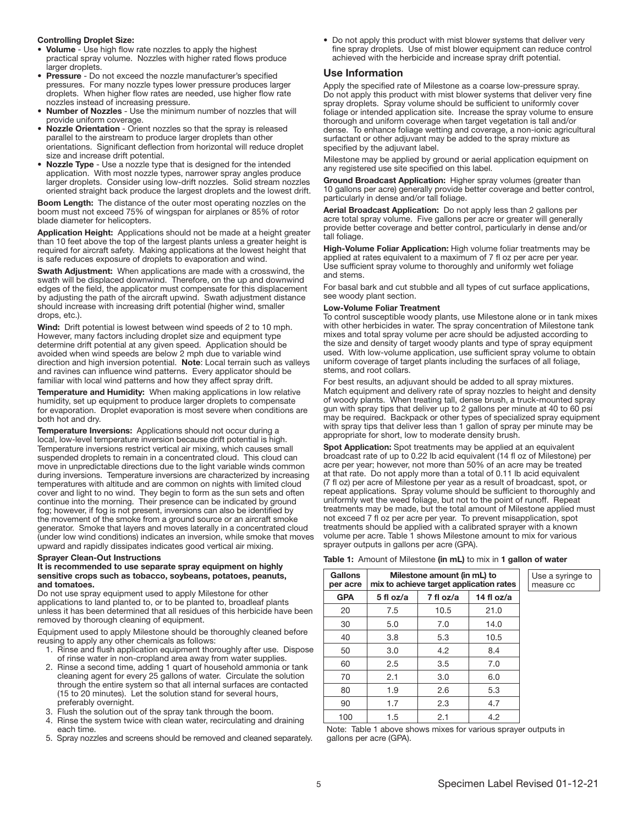#### Controlling Droplet Size:

- Volume Use high flow rate nozzles to apply the highest practical spray volume. Nozzles with higher rated flows produce larger droplets.
- Pressure Do not exceed the nozzle manufacturer's specified pressures. For many nozzle types lower pressure produces larger droplets. When higher flow rates are needed, use higher flow rate nozzles instead of increasing pressure.
- Number of Nozzles Use the minimum number of nozzles that will provide uniform coverage.
- Nozzle Orientation Orient nozzles so that the spray is released parallel to the airstream to produce larger droplets than other orientations. Significant deflection from horizontal will reduce droplet size and increase drift potential.
- Nozzle Type Use a nozzle type that is designed for the intended application. With most nozzle types, narrower spray angles produce larger droplets. Consider using low-drift nozzles. Solid stream nozzles oriented straight back produce the largest droplets and the lowest drift.

Boom Length: The distance of the outer most operating nozzles on the boom must not exceed 75% of wingspan for airplanes or 85% of rotor blade diameter for helicopters.

Application Height: Applications should not be made at a height greater than 10 feet above the top of the largest plants unless a greater height is required for aircraft safety. Making applications at the lowest height that is safe reduces exposure of droplets to evaporation and wind.

Swath Adjustment: When applications are made with a crosswind, the swath will be displaced downwind. Therefore, on the up and downwind edges of the field, the applicator must compensate for this displacement by adjusting the path of the aircraft upwind. Swath adjustment distance should increase with increasing drift potential (higher wind, smaller drops, etc.).

Wind: Drift potential is lowest between wind speeds of 2 to 10 mph. However, many factors including droplet size and equipment type determine drift potential at any given speed. Application should be avoided when wind speeds are below 2 mph due to variable wind direction and high inversion potential. Note: Local terrain such as valleys and ravines can influence wind patterns. Every applicator should be familiar with local wind patterns and how they affect spray drift.

Temperature and Humidity: When making applications in low relative humidity, set up equipment to produce larger droplets to compensate for evaporation. Droplet evaporation is most severe when conditions are both hot and dry.

Temperature Inversions: Applications should not occur during a local, low-level temperature inversion because drift potential is high. Temperature inversions restrict vertical air mixing, which causes small suspended droplets to remain in a concentrated cloud. This cloud can move in unpredictable directions due to the light variable winds common during inversions. Temperature inversions are characterized by increasing temperatures with altitude and are common on nights with limited cloud cover and light to no wind. They begin to form as the sun sets and often continue into the morning. Their presence can be indicated by ground fog; however, if fog is not present, inversions can also be identified by the movement of the smoke from a ground source or an aircraft smoke generator. Smoke that layers and moves laterally in a concentrated cloud (under low wind conditions) indicates an inversion, while smoke that moves upward and rapidly dissipates indicates good vertical air mixing.

#### Sprayer Clean-Out Instructions

#### It is recommended to use separate spray equipment on highly sensitive crops such as tobacco, soybeans, potatoes, peanuts, and tomatoes.

Do not use spray equipment used to apply Milestone for other applications to land planted to, or to be planted to, broadleaf plants unless it has been determined that all residues of this herbicide have been removed by thorough cleaning of equipment.

Equipment used to apply Milestone should be thoroughly cleaned before reusing to apply any other chemicals as follows:

- 1. Rinse and flush application equipment thoroughly after use. Dispose of rinse water in non-cropland area away from water supplies.
- 2. Rinse a second time, adding 1 quart of household ammonia or tank cleaning agent for every 25 gallons of water. Circulate the solution through the entire system so that all internal surfaces are contacted (15 to 20 minutes). Let the solution stand for several hours, preferably overnight.
- 3. Flush the solution out of the spray tank through the boom.
- 4. Rinse the system twice with clean water, recirculating and draining each time.
- 5. Spray nozzles and screens should be removed and cleaned separately.

• Do not apply this product with mist blower systems that deliver very fine spray droplets. Use of mist blower equipment can reduce control achieved with the herbicide and increase spray drift potential.

#### Use Information

Apply the specified rate of Milestone as a coarse low-pressure spray. Do not apply this product with mist blower systems that deliver very fine spray droplets. Spray volume should be sufficient to uniformly cover foliage or intended application site. Increase the spray volume to ensure thorough and uniform coverage when target vegetation is tall and/or dense. To enhance foliage wetting and coverage, a non-ionic agricultural surfactant or other adjuvant may be added to the spray mixture as specified by the adjuvant label.

Milestone may be applied by ground or aerial application equipment on any registered use site specified on this label.

Ground Broadcast Application: Higher spray volumes (greater than 10 gallons per acre) generally provide better coverage and better control, particularly in dense and/or tall foliage.

Aerial Broadcast Application: Do not apply less than 2 gallons per acre total spray volume. Five gallons per acre or greater will generally provide better coverage and better control, particularly in dense and/or tall foliage.

High-Volume Foliar Application: High volume foliar treatments may be applied at rates equivalent to a maximum of 7 fl oz per acre per year. Use sufficient spray volume to thoroughly and uniformly wet foliage and stems.

For basal bark and cut stubble and all types of cut surface applications, see woody plant section.

#### Low-Volume Foliar Treatment

To control susceptible woody plants, use Milestone alone or in tank mixes with other herbicides in water. The spray concentration of Milestone tank mixes and total spray volume per acre should be adjusted according to the size and density of target woody plants and type of spray equipment used. With low-volume application, use sufficient spray volume to obtain uniform coverage of target plants including the surfaces of all foliage, stems, and root collars.

For best results, an adjuvant should be added to all spray mixtures. Match equipment and delivery rate of spray nozzles to height and density of woody plants. When treating tall, dense brush, a truck-mounted spray gun with spray tips that deliver up to 2 gallons per minute at 40 to 60 psi may be required. Backpack or other types of specialized spray equipment with spray tips that deliver less than 1 gallon of spray per minute may be appropriate for short, low to moderate density brush.

Spot Application: Spot treatments may be applied at an equivalent broadcast rate of up to 0.22 lb acid equivalent (14 fl oz of Milestone) per acre per year; however, not more than 50% of an acre may be treated at that rate. Do not apply more than a total of 0.11 lb acid equivalent (7 fl oz) per acre of Milestone per year as a result of broadcast, spot, or repeat applications. Spray volume should be sufficient to thoroughly and uniformly wet the weed foliage, but not to the point of runoff. Repeat treatments may be made, but the total amount of Milestone applied must not exceed 7 fl oz per acre per year. To prevent misapplication, spot treatments should be applied with a calibrated sprayer with a known volume per acre. Table 1 shows Milestone amount to mix for various sprayer outputs in gallons per acre (GPA).

|  |  |  |  |  |  | Table 1: Amount of Milestone (in mL) to mix in 1 gallon of water |
|--|--|--|--|--|--|------------------------------------------------------------------|
|--|--|--|--|--|--|------------------------------------------------------------------|

| Gallons<br>per acre | Milestone amount (in mL) to<br>mix to achieve target application rates |           |            |  |  |
|---------------------|------------------------------------------------------------------------|-----------|------------|--|--|
| <b>GPA</b>          | 5 fl oz/a                                                              | 7 fl oz/a | 14 fl oz/a |  |  |
| 20                  | 7.5                                                                    | 10.5      | 21.0       |  |  |
| 30                  | 5.0                                                                    | 7.0       | 14.0       |  |  |
| 40                  | 3.8                                                                    | 5.3       | 10.5       |  |  |
| 50                  | 3.0                                                                    | 4.2       | 8.4        |  |  |
| 60                  | 2.5                                                                    | 3.5       | 7.0        |  |  |
| 70                  | 2.1                                                                    | 3.0       | 6.0        |  |  |
| 80                  | 1.9                                                                    | 2.6       | 5.3        |  |  |
| 90                  | 1.7                                                                    | 2.3       | 4.7        |  |  |
| 100                 | 1.5                                                                    | 2.1       | 4.2        |  |  |

Note: Table 1 above shows mixes for various sprayer outputs in gallons per acre (GPA).

Use a syringe to measure cc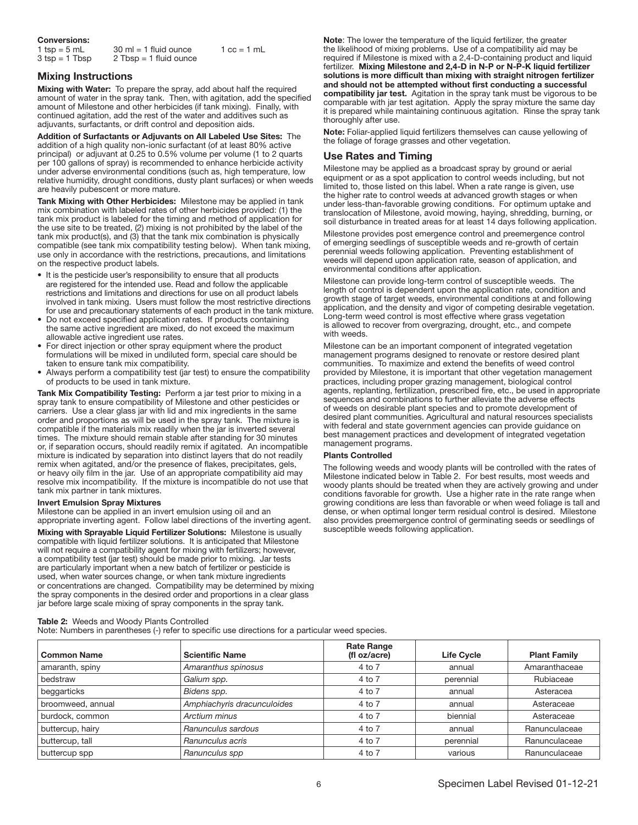| <b>Conversions:</b>                |                                                                     |                               |
|------------------------------------|---------------------------------------------------------------------|-------------------------------|
| 1 tsp = $5$ mL<br>$3$ tsp = 1 Tbsp | $30 \text{ ml} = 1 \text{ fluid ounce}$<br>$2$ Tbsp = 1 fluid ounce | $1 \text{ cc} = 1 \text{ mL}$ |

# Mixing Instructions

Mixing with Water: To prepare the spray, add about half the required amount of water in the spray tank. Then, with agitation, add the specified amount of Milestone and other herbicides (if tank mixing). Finally, with continued agitation, add the rest of the water and additives such as adjuvants, surfactants, or drift control and deposition aids.

Addition of Surfactants or Adjuvants on All Labeled Use Sites: The addition of a high quality non-ionic surfactant (of at least 80% active principal) or adjuvant at 0.25 to 0.5% volume per volume (1 to 2 quarts per 100 gallons of spray) is recommended to enhance herbicide activity under adverse environmental conditions (such as, high temperature, low relative humidity, drought conditions, dusty plant surfaces) or when weeds are heavily pubescent or more mature.

Tank Mixing with Other Herbicides: Milestone may be applied in tank mix combination with labeled rates of other herbicides provided: (1) the tank mix product is labeled for the timing and method of application for the use site to be treated, (2) mixing is not prohibited by the label of the tank mix product(s), and (3) that the tank mix combination is physically compatible (see tank mix compatibility testing below). When tank mixing, use only in accordance with the restrictions, precautions, and limitations on the respective product labels.

- It is the pesticide user's responsibility to ensure that all products are registered for the intended use. Read and follow the applicable restrictions and limitations and directions for use on all product labels involved in tank mixing. Users must follow the most restrictive directions for use and precautionary statements of each product in the tank mixture.
- Do not exceed specified application rates. If products containing the same active ingredient are mixed, do not exceed the maximum allowable active ingredient use rates.
- For direct injection or other spray equipment where the product formulations will be mixed in undiluted form, special care should be taken to ensure tank mix compatibility.
- Always perform a compatibility test (jar test) to ensure the compatibility of products to be used in tank mixture.

Tank Mix Compatibility Testing: Perform a jar test prior to mixing in a spray tank to ensure compatibility of Milestone and other pesticides or carriers. Use a clear glass jar with lid and mix ingredients in the same order and proportions as will be used in the spray tank. The mixture is compatible if the materials mix readily when the jar is inverted several times. The mixture should remain stable after standing for 30 minutes or, if separation occurs, should readily remix if agitated. An incompatible mixture is indicated by separation into distinct layers that do not readily remix when agitated, and/or the presence of flakes, precipitates, gels, or heavy oily film in the jar. Use of an appropriate compatibility aid may resolve mix incompatibility. If the mixture is incompatible do not use that tank mix partner in tank mixtures.

#### Invert Emulsion Spray Mixtures

Milestone can be applied in an invert emulsion using oil and an appropriate inverting agent. Follow label directions of the inverting agent.

Mixing with Sprayable Liquid Fertilizer Solutions: Milestone is usually compatible with liquid fertilizer solutions. It is anticipated that Milestone will not require a compatibility agent for mixing with fertilizers; however, a compatibility test (jar test) should be made prior to mixing. Jar tests are particularly important when a new batch of fertilizer or pesticide is used, when water sources change, or when tank mixture ingredients or concentrations are changed. Compatibility may be determined by mixing the spray components in the desired order and proportions in a clear glass jar before large scale mixing of spray components in the spray tank.

#### Table 2: Weeds and Woody Plants Controlled

Note: Numbers in parentheses (-) refer to specific use directions for a particular weed species.

Common Name Scientific Name Rate Range (fl oz/acre) Life Cycle Plant Family amaranth, spiny **Amaranthus spinosus** Amaranthaceae **4** to 7 annual Amaranthaceae bedstraw **Galium spp.** 2006 Calium spp. And to 7 perennial Rubiaceae Rubiaceae bedstraw beggarticks **Bidens spp.** Asteracea **Bidens spp.** Asteracea **Asteracea Bidens spp.** Asteracea broomweed, annual *Amphiachyris dracunculoides* 4 to 7 annual Asteraceae burdock, common **Arctium minus** Asteraceae **Arctium minus Asteraceae Asterial** Asteraceae **Asterial** Asteraceae buttercup, hairy **Ranunculus sardous Annual Annual Ranunculaceae Ranunculaceae A** annual Ranunculaceae buttercup, tall **Ranunculus acris Anunculus acris All Constant Accord Accord Accord Planunculaceae Ranunculaceae** buttercup spp **Ranunculus spp A** Anunculus spp **A** 4 to 7 various **Ranunculaceae** 

Note: The lower the temperature of the liquid fertilizer, the greater the likelihood of mixing problems. Use of a compatibility aid may be required if Milestone is mixed with a 2,4-D-containing product and liquid fertilizer. Mixing Milestone and 2,4-D in N-P or N-P-K liquid fertilizer solutions is more difficult than mixing with straight nitrogen fertilizer and should not be attempted without first conducting a successful compatibility jar test. Agitation in the spray tank must be vigorous to be comparable with jar test agitation. Apply the spray mixture the same day it is prepared while maintaining continuous agitation. Rinse the spray tank thoroughly after use.

Note: Foliar-applied liquid fertilizers themselves can cause yellowing of the foliage of forage grasses and other vegetation.

#### Use Rates and Timing

Milestone may be applied as a broadcast spray by ground or aerial equipment or as a spot application to control weeds including, but not limited to, those listed on this label. When a rate range is given, use the higher rate to control weeds at advanced growth stages or when under less-than-favorable growing conditions. For optimum uptake and translocation of Milestone, avoid mowing, haying, shredding, burning, or soil disturbance in treated areas for at least 14 days following application.

Milestone provides post emergence control and preemergence control of emerging seedlings of susceptible weeds and re-growth of certain perennial weeds following application. Preventing establishment of weeds will depend upon application rate, season of application, and environmental conditions after application.

Milestone can provide long-term control of susceptible weeds. The length of control is dependent upon the application rate, condition and growth stage of target weeds, environmental conditions at and following application, and the density and vigor of competing desirable vegetation. Long-term weed control is most effective where grass vegetation is allowed to recover from overgrazing, drought, etc., and compete with weeds.

Milestone can be an important component of integrated vegetation management programs designed to renovate or restore desired plant communities. To maximize and extend the benefits of weed control provided by Milestone, it is important that other vegetation management practices, including proper grazing management, biological control agents, replanting, fertilization, prescribed fire, etc., be used in appropriate sequences and combinations to further alleviate the adverse effects of weeds on desirable plant species and to promote development of desired plant communities. Agricultural and natural resources specialists with federal and state government agencies can provide guidance on best management practices and development of integrated vegetation management programs.

#### Plants Controlled

The following weeds and woody plants will be controlled with the rates of Milestone indicated below in Table 2. For best results, most weeds and woody plants should be treated when they are actively growing and under conditions favorable for growth. Use a higher rate in the rate range when growing conditions are less than favorable or when weed foliage is tall and dense, or when optimal longer term residual control is desired. Milestone also provides preemergence control of germinating seeds or seedlings of susceptible weeds following application.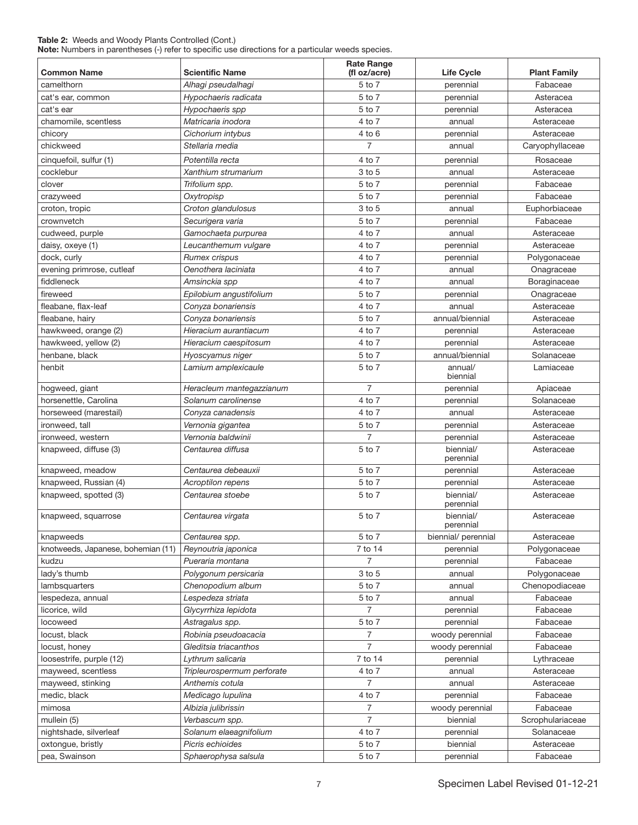#### Table 2: Weeds and Woody Plants Controlled (Cont.) Note: Numbers in parentheses (-) refer to specific use directions for a particular weeds species.

| <b>Common Name</b>                 | <b>Scientific Name</b>               | <b>Rate Range</b><br>(fl oz/acre) | <b>Life Cycle</b>      | <b>Plant Family</b> |
|------------------------------------|--------------------------------------|-----------------------------------|------------------------|---------------------|
| camelthorn                         | Alhagi pseudalhagi                   | 5 to 7                            | perennial              | Fabaceae            |
| cat's ear, common                  | Hypochaeris radicata                 | 5 to 7                            | perennial              | Asteracea           |
| cat's ear                          | Hypochaeris spp                      | 5 to 7                            | perennial              | Asteracea           |
| chamomile, scentless               | Matricaria inodora                   | 4 to 7                            | annual                 | Asteraceae          |
| chicory                            | Cichorium intybus                    | 4 to 6                            | perennial              | Asteraceae          |
| chickweed                          | Stellaria media                      | $\overline{7}$                    | annual                 | Caryophyllaceae     |
| cinquefoil, sulfur (1)             | Potentilla recta                     | 4 to 7                            | perennial              | Rosaceae            |
| cocklebur                          | Xanthium strumarium                  | 3 to 5                            | annual                 | Asteraceae          |
| clover                             | Trifolium spp.                       | 5 to 7                            | perennial              | Fabaceae            |
| crazyweed                          | Oxytropisp                           | 5 to 7                            | perennial              | Fabaceae            |
| croton, tropic                     | Croton glandulosus                   | 3 to 5                            | annual                 | Euphorbiaceae       |
| crownvetch                         | Securigera varia                     | 5 to 7                            | perennial              | Fabaceae            |
| cudweed, purple                    | Gamochaeta purpurea                  | 4 to 7                            | annual                 | Asteraceae          |
| daisy, oxeye (1)                   | Leucanthemum vulgare                 | 4 to 7                            | perennial              | Asteraceae          |
| dock, curly                        | Rumex crispus                        | 4 to 7                            | perennial              | Polygonaceae        |
| evening primrose, cutleaf          | Oenothera laciniata                  | 4 to 7                            | annual                 | Onagraceae          |
| fiddleneck                         | Amsinckia spp                        | 4 to 7                            | annual                 | Boraginaceae        |
| fireweed                           | Epilobium angustifolium              | 5 to 7                            | perennial              | Onagraceae          |
| fleabane, flax-leaf                | Conyza bonariensis                   | 4 to 7                            | annual                 | Asteraceae          |
| fleabane, hairy                    | Conyza bonariensis                   | 5 to 7                            | annual/biennial        | Asteraceae          |
| hawkweed, orange (2)               | Hieracium aurantiacum                | 4 to 7                            | perennial              | Asteraceae          |
| hawkweed, yellow (2)               | Hieracium caespitosum                | 4 to 7                            | perennial              | Asteraceae          |
| henbane, black                     | Hyoscyamus niger                     | 5 to 7                            | annual/biennial        | Solanaceae          |
| henbit                             | Lamium amplexicaule                  | 5 to 7                            | annual/                | Lamiaceae           |
|                                    |                                      |                                   | biennial               |                     |
| hogweed, giant                     | Heracleum mantegazzianum             | $\overline{7}$                    | perennial              | Apiaceae            |
| horsenettle, Carolina              | Solanum carolinense                  | 4 to 7                            | perennial              | Solanaceae          |
| horseweed (marestail)              | Conyza canadensis                    | 4 to 7                            | annual                 | Asteraceae          |
| ironweed, tall                     | Vernonia gigantea                    | 5 to 7                            | perennial              | Asteraceae          |
| ironweed, western                  | Vernonia baldwinii                   | $\overline{7}$                    | perennial              | Asteraceae          |
| knapweed, diffuse (3)              | Centaurea diffusa                    | 5 to 7                            | biennial/<br>perennial | Asteraceae          |
| knapweed, meadow                   | Centaurea debeauxii                  | 5 to 7                            | perennial              | Asteraceae          |
| knapweed, Russian (4)              | <b>Acroptilon repens</b>             | 5 to 7                            | perennial              | Asteraceae          |
| knapweed, spotted (3)              | Centaurea stoebe                     | 5 to 7                            | biennial/<br>perennial | Asteraceae          |
| knapweed, squarrose                | Centaurea virgata                    | 5 to 7                            | biennial/<br>perennial | Asteraceae          |
| knapweeds                          | Centaurea spp.                       | 5 to 7                            | biennial/ perennial    | Asteraceae          |
| knotweeds, Japanese, bohemian (11) | Reynoutria japonica                  | 7 to 14                           | perennial              | Polygonaceae        |
| kudzu                              | Pueraria montana                     | $\overline{7}$                    | perennial              | Fabaceae            |
| lady's thumb                       | Polygonum persicaria                 | 3 to 5                            | annual                 | Polygonaceae        |
| lambsquarters                      | Chenopodium album                    | 5 to 7                            | annual                 | Chenopodiaceae      |
| lespedeza, annual                  | Lespedeza striata                    | 5 to 7                            | annual                 | Fabaceae            |
| licorice, wild                     | Glycyrrhiza lepidota                 | 7                                 | perennial              | Fabaceae            |
| locoweed                           | Astragalus spp.                      | 5 to 7                            | perennial              | Fabaceae            |
| locust, black                      | Robinia pseudoacacia                 | 7                                 | woody perennial        | Fabaceae            |
| locust, honey                      | Gleditsia triacanthos                | 7                                 | woody perennial        | Fabaceae            |
| loosestrife, purple (12)           | Lythrum salicaria                    | 7 to 14                           | perennial              | Lythraceae          |
| mayweed, scentless                 | 4 to 7<br>Tripleurospermum perforate |                                   | annual                 | Asteraceae          |
| mayweed, stinking                  | Anthemis cotula                      | $\overline{7}$                    | annual                 | Asteraceae          |
| medic, black                       | Medicago lupulina                    | 4 to 7<br>perennial               |                        | Fabaceae            |
| mimosa                             | Albizia julibrissin                  | $\overline{7}$<br>woody perennial |                        | Fabaceae            |
| mullein (5)                        | Verbascum spp.                       | $\overline{7}$                    | biennial               | Scrophulariaceae    |
| nightshade, silverleaf             | Solanum elaeagnifolium               | 4 to 7                            | perennial              | Solanaceae          |
| oxtongue, bristly                  | Picris echioides                     | 5 to 7                            | biennial               | Asteraceae          |
| pea, Swainson                      | Sphaerophysa salsula                 | 5 to 7                            | perennial              | Fabaceae            |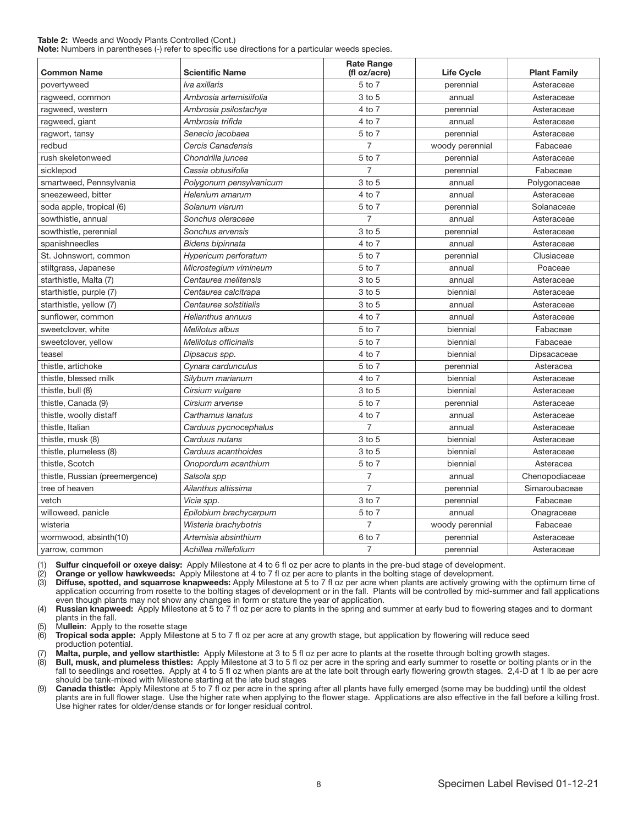#### Table 2: Weeds and Woody Plants Controlled (Cont.) Note: Numbers in parentheses (-) refer to specific use directions for a particular weeds species.

| <b>Common Name</b>              | <b>Scientific Name</b>  | <b>Rate Range</b><br>(fl oz/acre) | <b>Life Cycle</b> | <b>Plant Family</b> |
|---------------------------------|-------------------------|-----------------------------------|-------------------|---------------------|
| povertyweed                     | Iva axillaris           | 5 to 7                            | perennial         | Asteraceae          |
| ragweed, common                 | Ambrosia artemisiifolia | 3 to 5                            | annual            | Asteraceae          |
| ragweed, western                | Ambrosia psilostachya   | 4 to 7                            | perennial         | Asteraceae          |
| ragweed, giant                  | Ambrosia trifida        | 4 to 7                            | annual            | Asteraceae          |
| ragwort, tansy                  | Senecio jacobaea        | 5 to 7                            | perennial         | Asteraceae          |
| redbud                          | Cercis Canadensis       | $\overline{7}$                    | woody perennial   | Fabaceae            |
| rush skeletonweed               | Chondrilla juncea       | 5 to 7                            | perennial         | Asteraceae          |
| sicklepod                       | Cassia obtusifolia      | $\overline{7}$                    | perennial         | Fabaceae            |
| smartweed, Pennsylvania         | Polygonum pensylvanicum | 3 to 5                            | annual            | Polygonaceae        |
| sneezeweed, bitter              | Helenium amarum         | 4 to 7                            | annual            | Asteraceae          |
| soda apple, tropical (6)        | Solanum viarum          | 5 to 7                            | perennial         | Solanaceae          |
| sowthistle, annual              | Sonchus oleraceae       | $\overline{7}$                    | annual            | Asteraceae          |
| sowthistle, perennial           | Sonchus arvensis        | 3 to 5                            | perennial         | Asteraceae          |
| spanishneedles                  | Bidens bipinnata        | 4 to 7                            | annual            | Asteraceae          |
| St. Johnswort, common           | Hypericum perforatum    | 5 to 7                            | perennial         | Clusiaceae          |
| stiltgrass, Japanese            | Microstegium vimineum   | 5 to 7                            | annual            | Poaceae             |
| starthistle, Malta (7)          | Centaurea melitensis    | 3 to 5                            | annual            | Asteraceae          |
| starthistle, purple (7)         | Centaurea calcitrapa    | 3 to 5                            | biennial          | Asteraceae          |
| starthistle, yellow (7)         | Centaurea solstitialis  | 3 to 5                            | annual            | Asteraceae          |
| sunflower, common               | Helianthus annuus       | $4$ to $7$                        | annual            | Asteraceae          |
| sweetclover, white              | Melilotus albus         | 5 to 7                            | biennial          | Fabaceae            |
| sweetclover, yellow             | Melilotus officinalis   | 5 to 7                            | biennial          | Fabaceae            |
| teasel                          | Dipsacus spp.           | 4 to 7                            | biennial          | Dipsacaceae         |
| thistle, artichoke              | Cynara cardunculus      | 5 to 7                            | perennial         | Asteracea           |
| thistle, blessed milk           | Silybum marianum        | 4 to 7                            | biennial          | Asteraceae          |
| thistle, bull (8)               | Cirsium vulgare         | 3 to 5                            | biennial          | Asteraceae          |
| thistle, Canada (9)             | Cirsium arvense         | 5 to 7                            | perennial         | Asteraceae          |
| thistle, woolly distaff         | Carthamus lanatus       | 4 to 7                            | annual            | Asteraceae          |
| thistle, Italian                | Carduus pycnocephalus   | $\overline{7}$                    | annual            | Asteraceae          |
| thistle, musk (8)               | Carduus nutans          | $3$ to $5$                        | biennial          | Asteraceae          |
| thistle, plumeless (8)          | Carduus acanthoides     | 3 to 5                            | biennial          | Asteraceae          |
| thistle, Scotch                 | Onopordum acanthium     | 5 to 7                            | biennial          | Asteracea           |
| thistle, Russian (preemergence) | Salsola spp             | 7                                 | annual            | Chenopodiaceae      |
| tree of heaven                  | Ailanthus altissima     | $\overline{7}$                    | perennial         | Simaroubaceae       |
| vetch                           | Vicia spp.              | 3 to 7                            | perennial         | Fabaceae            |
| willoweed, panicle              | Epilobium brachycarpum  | 5 to 7                            | annual            | Onagraceae          |
| wisteria                        | Wisteria brachybotris   | $\overline{7}$                    | woody perennial   | Fabaceae            |
| wormwood, absinth(10)           | Artemisia absinthium    | 6 to 7                            | perennial         | Asteraceae          |
| yarrow, common                  | Achillea millefolium    | $\overline{7}$                    | perennial         | Asteraceae          |

(1) Sulfur cinquefoil or oxeye daisy: Apply Milestone at 4 to 6 fl oz per acre to plants in the pre-bud stage of development.

(2) Orange or yellow hawkweeds: Apply Milestone at 4 to 7 fl oz per acre to plants in the bolting stage of development.<br>(3) Diffuse, spotted, and squarrose knapweeds: Apply Milestone at 5 to 7 fl oz per acre when plants ar

Diffuse, spotted, and squarrose knapweeds: Apply Milestone at 5 to 7 fl oz per acre when plants are actively growing with the optimum time of application occurring from rosette to the bolting stages of development or in the fall. Plants will be controlled by mid-summer and fall applications even though plants may not show any changes in form or stature the year of application.

(4) Russian knapweed: Apply Milestone at 5 to 7 fl oz per acre to plants in the spring and summer at early bud to flowering stages and to dormant plants in the fall.

(5) Mullein: Apply to the rosette stage  $(6)$  Tropical soda apple: Apply Milesto

Tropical soda apple: Apply Milestone at 5 to 7 fl oz per acre at any growth stage, but application by flowering will reduce seed production potential.

Malta, purple, and yellow starthistle: Apply Milestone at 3 to 5 fl oz per acre to plants at the rosette through bolting growth stages.

(8) Bull, musk, and plumeless thistles: Apply Milestone at 3 to 5 fl oz per acre in the spring and early summer to rosette or bolting plants or in the fall to seedlings and rosettes. Apply at 4 to 5 fl oz when plants are at the late bolt through early flowering growth stages. 2,4-D at 1 lb ae per acre should be tank-mixed with Milestone starting at the late bud stages

(9) Canada thistle: Apply Milestone at 5 to 7 floz per acre in the spring after all plants have fully emerged (some may be budding) until the oldest plants are in full flower stage. Use the higher rate when applying to the flower stage. Applications are also effective in the fall before a killing frost. Use higher rates for older/dense stands or for longer residual control.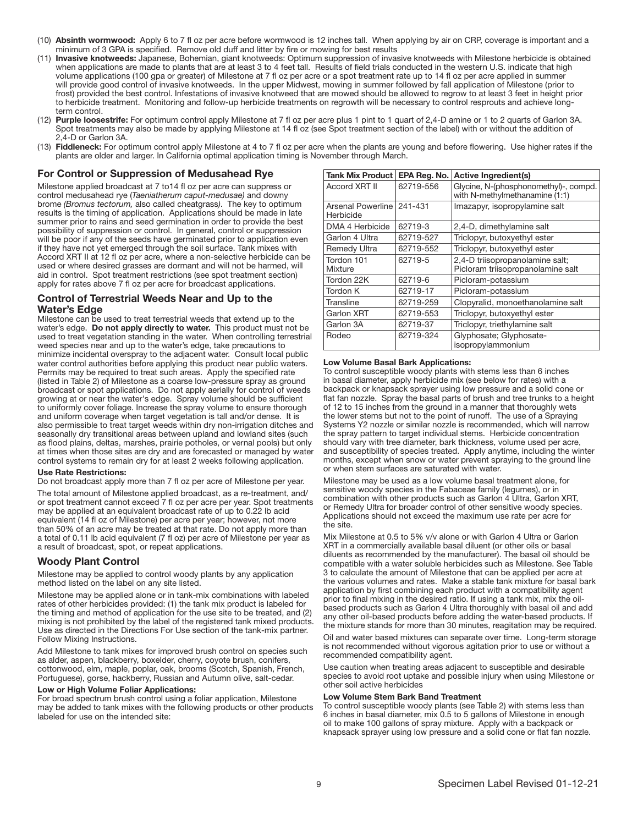- (10) Absinth wormwood: Apply 6 to 7 fl oz per acre before wormwood is 12 inches tall. When applying by air on CRP, coverage is important and a minimum of 3 GPA is specified. Remove old duff and litter by fire or mowing for best results
- (11) Invasive knotweeds: Japanese, Bohemian, giant knotweeds: Optimum suppression of invasive knotweeds with Milestone herbicide is obtained when applications are made to plants that are at least 3 to 4 feet tall. Results of field trials conducted in the western U.S. indicate that high volume applications (100 gpa or greater) of Milestone at 7 fl oz per acre or a spot treatment rate up to 14 fl oz per acre applied in summer will provide good control of invasive knotweeds. In the upper Midwest, mowing in summer followed by fall application of Milestone (prior to frost) provided the best control. Infestations of invasive knotweed that are mowed should be allowed to regrow to at least 3 feet in height prior to herbicide treatment. Monitoring and follow-up herbicide treatments on regrowth will be necessary to control resprouts and achieve longterm control.
- (12) Purple loosestrife: For optimum control apply Milestone at 7 fl oz per acre plus 1 pint to 1 quart of 2,4-D amine or 1 to 2 quarts of Garlon 3A. Spot treatments may also be made by applying Milestone at 14 fl oz (see Spot treatment section of the label) with or without the addition of 2,4-D or Garlon 3A.
- (13) Fiddleneck: For optimum control apply Milestone at 4 to 7 fl oz per acre when the plants are young and before flowering. Use higher rates if the plants are older and larger. In California optimal application timing is November through March.

#### For Control or Suppression of Medusahead Rye

Milestone applied broadcast at 7 to14 fl oz per acre can suppress or control medusahead rye (*Taeniatherum caput-medusae)* and downy brome *(Bromus tectorum,* also called cheatgrass*)*.The key to optimum results is the timing of application. Applications should be made in late summer prior to rains and seed germination in order to provide the best possibility of suppression or control. In general, control or suppression will be poor if any of the seeds have germinated prior to application even if they have not yet emerged through the soil surface. Tank mixes with Accord XRT II at 12 fl oz per acre, where a non-selective herbicide can be used or where desired grasses are dormant and will not be harmed, will aid in control. Spot treatment restrictions (see spot treatment section) apply for rates above 7 fl oz per acre for broadcast applications.

#### Control of Terrestrial Weeds Near and Up to the Water's Edge

Milestone can be used to treat terrestrial weeds that extend up to the water's edge. Do not apply directly to water. This product must not be used to treat vegetation standing in the water. When controlling terrestrial weed species near and up to the water's edge, take precautions to minimize incidental overspray to the adjacent water. Consult local public water control authorities before applying this product near public waters. Permits may be required to treat such areas. Apply the specified rate (listed in Table 2) of Milestone as a coarse low-pressure spray as ground broadcast or spot applications. Do not apply aerially for control of weeds growing at or near the water's edge. Spray volume should be sufficient to uniformly cover foliage. Increase the spray volume to ensure thorough and uniform coverage when target vegetation is tall and/or dense. It is also permissible to treat target weeds within dry non-irrigation ditches and seasonally dry transitional areas between upland and lowland sites (such as flood plains, deltas, marshes, prairie potholes, or vernal pools) but only at times when those sites are dry and are forecasted or managed by water control systems to remain dry for at least 2 weeks following application.

#### Use Rate Restrictions:

Do not broadcast apply more than 7 fl oz per acre of Milestone per year.

The total amount of Milestone applied broadcast, as a re-treatment, and/ or spot treatment cannot exceed 7 fl oz per acre per year. Spot treatments may be applied at an equivalent broadcast rate of up to 0.22 lb acid equivalent (14 fl oz of Milestone) per acre per year; however, not more than 50% of an acre may be treated at that rate. Do not apply more than a total of 0.11 lb acid equivalent (7 fl oz) per acre of Milestone per year as a result of broadcast, spot, or repeat applications.

#### Woody Plant Control

Milestone may be applied to control woody plants by any application method listed on the label on any site listed.

Milestone may be applied alone or in tank-mix combinations with labeled rates of other herbicides provided: (1) the tank mix product is labeled for the timing and method of application for the use site to be treated, and (2) mixing is not prohibited by the label of the registered tank mixed products. Use as directed in the Directions For Use section of the tank-mix partner. Follow Mixing Instructions.

Add Milestone to tank mixes for improved brush control on species such as alder, aspen, blackberry, boxelder, cherry, coyote brush, conifers, cottonwood, elm, maple, poplar, oak, brooms (Scotch, Spanish, French, Portuguese), gorse, hackberry, Russian and Autumn olive, salt-cedar.

#### Low or High Volume Foliar Applications:

For broad spectrum brush control using a foliar application, Milestone may be added to tank mixes with the following products or other products labeled for use on the intended site:

| Tank Mix Product                       | EPA Reg. No. | <b>Active Ingredient(s)</b>                                             |
|----------------------------------------|--------------|-------------------------------------------------------------------------|
| <b>Accord XRT II</b>                   | 62719-556    | Glycine, N-(phosphonomethyl)-, compd.<br>with N-methylmethanamine (1:1) |
| Arsenal Powerline 241-431<br>Herbicide |              | Imazapyr, isopropylamine salt                                           |
| DMA 4 Herbicide                        | 62719-3      | 2,4-D, dimethylamine salt                                               |
| Garlon 4 Ultra                         | 62719-527    | Triclopyr, butoxyethyl ester                                            |
| <b>Remedy Ultra</b>                    | 62719-552    | Triclopyr, butoxyethyl ester                                            |
| Tordon 101<br>Mixture                  | 62719-5      | 2,4-D triisopropanolamine salt;<br>Picloram triisopropanolamine salt    |
| Tordon 22K                             | 62719-6      | Picloram-potassium                                                      |
| Tordon K                               | 62719-17     | Picloram-potassium                                                      |
| Transline                              | 62719-259    | Clopyralid, monoethanolamine salt                                       |
| <b>Garlon XRT</b>                      | 62719-553    | Triclopyr, butoxyethyl ester                                            |
| Garlon 3A                              | 62719-37     | Triclopyr, triethylamine salt                                           |
| Rodeo                                  | 62719-324    | Glyphosate; Glyphosate-<br>isopropylammonium                            |

#### Low Volume Basal Bark Applications:

To control susceptible woody plants with stems less than 6 inches in basal diameter, apply herbicide mix (see below for rates) with a backpack or knapsack sprayer using low pressure and a solid cone or flat fan nozzle. Spray the basal parts of brush and tree trunks to a height of 12 to 15 inches from the ground in a manner that thoroughly wets the lower stems but not to the point of runoff. The use of a Spraying Systems Y2 nozzle or similar nozzle is recommended, which will narrow the spray pattern to target individual stems. Herbicide concentration should vary with tree diameter, bark thickness, volume used per acre, and susceptibility of species treated. Apply anytime, including the winter months, except when snow or water prevent spraying to the ground line or when stem surfaces are saturated with water.

Milestone may be used as a low volume basal treatment alone, for sensitive woody species in the Fabaceae family (legumes), or in combination with other products such as Garlon 4 Ultra, Garlon XRT, or Remedy Ultra for broader control of other sensitive woody species. Applications should not exceed the maximum use rate per acre for the site.

Mix Milestone at 0.5 to 5% v/v alone or with Garlon 4 Ultra or Garlon XRT in a commercially available basal diluent (or other oils or basal diluents as recommended by the manufacturer). The basal oil should be compatible with a water soluble herbicides such as Milestone. See Table 3 to calculate the amount of Milestone that can be applied per acre at the various volumes and rates. Make a stable tank mixture for basal bark application by first combining each product with a compatibility agent prior to final mixing in the desired ratio. If using a tank mix, mix the oilbased products such as Garlon 4 Ultra thoroughly with basal oil and add any other oil-based products before adding the water-based products. If the mixture stands for more than 30 minutes, reagitation may be required.

Oil and water based mixtures can separate over time. Long-term storage is not recommended without vigorous agitation prior to use or without a recommended compatibility agent.

Use caution when treating areas adjacent to susceptible and desirable species to avoid root uptake and possible injury when using Milestone or other soil active herbicides

#### Low Volume Stem Bark Band Treatment

To control susceptible woody plants (see Table 2) with stems less than 6 inches in basal diameter, mix 0.5 to 5 gallons of Milestone in enough oil to make 100 gallons of spray mixture. Apply with a backpack or knapsack sprayer using low pressure and a solid cone or flat fan nozzle.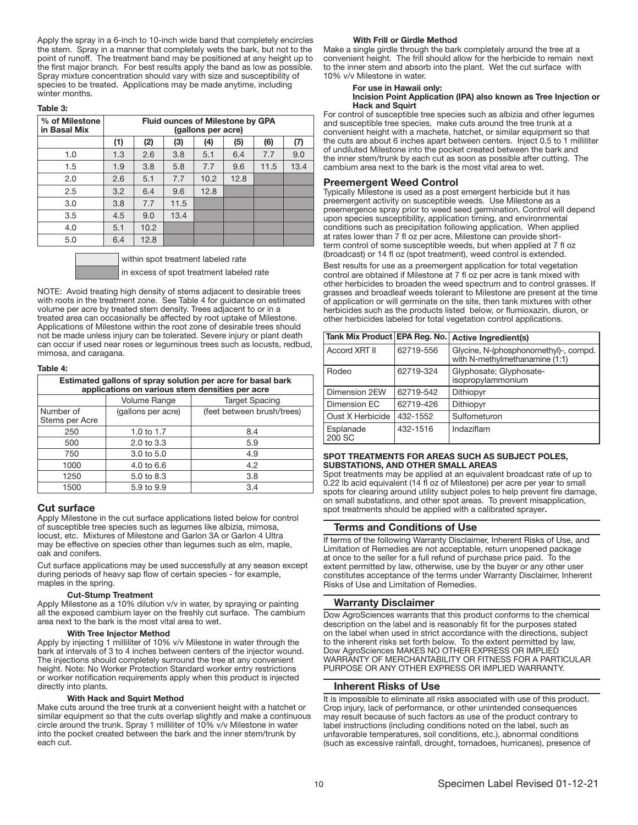Apply the spray in a 6-inch to 10-inch wide band that completely encircles the stem. Spray in a manner that completely wets the bark, but not to the point of runoff. The treatment band may be positioned at any height up to the first major branch. For best results apply the band as low as possible. Spray mixture concentration should vary with size and susceptibility of species to be treated. Applications may be made anytime, including winter months.

#### Table 3:

| % of Milestone<br>in Basal Mix | <b>Fluid ounces of Milestone by GPA</b><br>(gallons per acre) |      |      |      |      |      |      |
|--------------------------------|---------------------------------------------------------------|------|------|------|------|------|------|
|                                | (1)                                                           | (2)  | (3)  | (4)  | (5)  | (6)  | (7)  |
| 1.0                            | 1.3                                                           | 2.6  | 3.8  | 5.1  | 6.4  | 7.7  | 9.0  |
| 1.5                            | 1.9                                                           | 3.8  | 5.8  | 7.7  | 9.6  | 11.5 | 13.4 |
| 2.0                            | 2.6                                                           | 5.1  | 7.7  | 10.2 | 12.8 |      |      |
| 2.5                            | 3.2                                                           | 6.4  | 9.6  | 12.8 |      |      |      |
| 3.0                            | 3.8                                                           | 7.7  | 11.5 |      |      |      |      |
| 3.5                            | 4.5                                                           | 9.0  | 13.4 |      |      |      |      |
| 4.0                            | 5.1                                                           | 10.2 |      |      |      |      |      |
| 5.0                            | 6.4                                                           | 12.8 |      |      |      |      |      |

within spot treatment labeled rate in excess of spot treatment labeled rate

NOTE: Avoid treating high density of stems adjacent to desirable trees with roots in the treatment zone. See Table 4 for guidance on estimated volume per acre by treated stem density. Trees adjacent to or in a treated area can occasionally be affected by root uptake of Milestone. Applications of Milestone within the root zone of desirable trees should not be made unless injury can be tolerated. Severe injury or plant death can occur if used near roses or leguminous trees such as locusts, redbud, mimosa, and caragana. İ

#### Table 4:

| Estimated gallons of spray solution per acre for basal bark<br>applications on various stem densities per acre |                       |                            |  |  |  |
|----------------------------------------------------------------------------------------------------------------|-----------------------|----------------------------|--|--|--|
|                                                                                                                | Volume Range          | <b>Target Spacing</b>      |  |  |  |
| Number of<br>Stems per Acre                                                                                    | (gallons per acre)    | (feet between brush/trees) |  |  |  |
| 250                                                                                                            | 1.0 to 1.7            | 8.4                        |  |  |  |
| 500                                                                                                            | 2.0 to 3.3            | 5.9                        |  |  |  |
| 750                                                                                                            | $3.0 \text{ to } 5.0$ | 4.9                        |  |  |  |
| 1000                                                                                                           | $4.0 \text{ to } 6.6$ | 4.2                        |  |  |  |
| 1250                                                                                                           | 5.0 to 8.3            | 3.8                        |  |  |  |
| 1500                                                                                                           | 5.9 to 9.9            | 3.4                        |  |  |  |

#### Cut surface

Ī

Apply Milestone in the cut surface applications listed below for control of susceptible tree species such as legumes like albizia, mimosa, locust, etc. Mixtures of Milestone and Garlon 3A or Garlon 4 Ultra may be effective on species other than legumes such as elm, maple, oak and conifers.

Cut surface applications may be used successfully at any season except during periods of heavy sap flow of certain species - for example, maples in the spring.

#### Cut-Stump Treatment

Apply Milestone as a 10% dilution v/v in water, by spraying or painting all the exposed cambium layer on the freshly cut surface. The cambium area next to the bark is the most vital area to wet.

#### With Tree Injector Method

Apply by injecting 1 milliliter of 10% v/v Milestone in water through the bark at intervals of 3 to 4 inches between centers of the injector wound. The injections should completely surround the tree at any convenient height. Note: No Worker Protection Standard worker entry restrictions or worker notification requirements apply when this product is injected directly into plants.

#### With Hack and Squirt Method

Make cuts around the tree trunk at a convenient height with a hatchet or similar equipment so that the cuts overlap slightly and make a continuous circle around the trunk. Spray 1 milliliter of 10% v/v Milestone in water into the pocket created between the bark and the inner stem/trunk by each cut.

#### With Frill or Girdle Method

Make a single girdle through the bark completely around the tree at a convenient height. The frill should allow for the herbicide to remain next to the inner stem and absorb into the plant. Wet the cut surface with 10% v/v Milestone in water.

#### For use in Hawaii only: Incision Point Application (IPA) also known as Tree Injection or Hack and Squirt

For control of susceptible tree species such as albizia and other legumes and susceptible tree species, make cuts around the tree trunk at a convenient height with a machete, hatchet, or similar equipment so that the cuts are about 6 inches apart between centers. Inject 0.5 to 1 milliliter of undiluted Milestone into the pocket created between the bark and the inner stem/trunk by each cut as soon as possible after cutting. The cambium area next to the bark is the most vital area to wet.

### Preemergent Weed Control

Typically Milestone is used as a post emergent herbicide but it has preemergent activity on susceptible weeds. Use Milestone as a preemergence spray prior to weed seed germination. Control will depend upon species susceptibility, application timing, and environmental conditions such as precipitation following application. When applied at rates lower than 7 fl oz per acre, Milestone can provide shortterm control of some susceptible weeds, but when applied at 7 fl oz (broadcast) or 14 fl oz (spot treatment), weed control is extended.

Best results for use as a preemergent application for total vegetation control are obtained if Milestone at 7 fl oz per acre is tank mixed with other herbicides to broaden the weed spectrum and to control grasses. If grasses and broadleaf weeds tolerant to Milestone are present at the time of application or will germinate on the site, then tank mixtures with other herbicides such as the products listed below, or flumioxazin, diuron, or other herbicides labeled for total vegetation control applications.

| Tank Mix Product EPA Reg. No. |           | <b>Active Ingredient(s)</b>                                             |
|-------------------------------|-----------|-------------------------------------------------------------------------|
| Accord XRT II                 | 62719-556 | Glycine, N-(phosphonomethyl)-, compd.<br>with N-methylmethanamine (1:1) |
| Rodeo                         | 62719-324 | Glyphosate; Glyphosate-<br>isopropylammonium                            |
| Dimension 2EW                 | 62719-542 | Dithiopyr                                                               |
| Dimension EC                  | 62719-426 | Dithiopyr                                                               |
| Oust X Herbicide              | 432-1552  | Sulfometuron                                                            |
| Esplanade<br>200 SC           | 432-1516  | Indaziflam                                                              |
|                               |           |                                                                         |

#### Ī SPOT TREATMENTS FOR AREAS SUCH AS SUBJECT POLES, SUBSTATIONS, AND OTHER SMALL AREAS

Spot treatments may be applied at an equivalent broadcast rate of up to 0.22 lb acid equivalent (14 fl oz of Milestone) per acre per year to small spots for clearing around utility subject poles to help prevent fire damage, on small substations, and other spot areas. To prevent misapplication, spot treatments should be applied with a calibrated sprayer.

#### Terms and Conditions of Use

If terms of the following Warranty Disclaimer, Inherent Risks of Use, and Limitation of Remedies are not acceptable, return unopened package at once to the seller for a full refund of purchase price paid. To the extent permitted by law, otherwise, use by the buyer or any other user constitutes acceptance of the terms under Warranty Disclaimer, Inherent Risks of Use and Limitation of Remedies.

#### Warranty Disclaimer

Dow AgroSciences warrants that this product conforms to the chemical description on the label and is reasonably fit for the purposes stated on the label when used in strict accordance with the directions, subject to the inherent risks set forth below. To the extent permitted by law, Dow AgroSciences MAKES NO OTHER EXPRESS OR IMPLIED WARRANTY OF MERCHANTABILITY OR FITNESS FOR A PARTICULAR PURPOSE OR ANY OTHER EXPRESS OR IMPLIED WARRANTY.

#### Inherent Risks of Use

It is impossible to eliminate all risks associated with use of this product. Crop injury, lack of performance, or other unintended consequences may result because of such factors as use of the product contrary to label instructions (including conditions noted on the label, such as unfavorable temperatures, soil conditions, etc.), abnormal conditions (such as excessive rainfall, drought, tornadoes, hurricanes), presence of